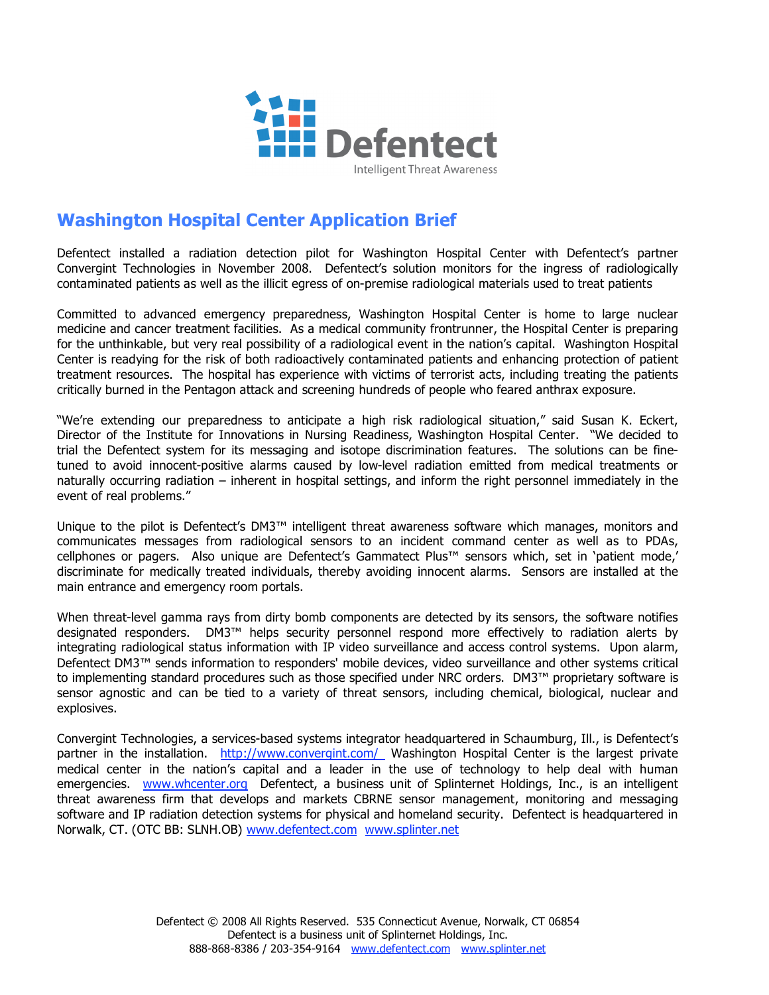

## **Washington Hospital Center Application Brief**

Defentect installed a radiation detection pilot for Washington Hospital Center with Defentect's partner Convergint Technologies in November 2008. Defentect's solution monitors for the ingress of radiologically contaminated patients as well as the illicit egress of on-premise radiological materials used to treat patients

Committed to advanced emergency preparedness, Washington Hospital Center is home to large nuclear medicine and cancer treatment facilities. As a medical community frontrunner, the Hospital Center is preparing for the unthinkable, but very real possibility of a radiological event in the nation's capital. Washington Hospital Center is readying for the risk of both radioactively contaminated patients and enhancing protection of patient treatment resources. The hospital has experience with victims of terrorist acts, including treating the patients critically burned in the Pentagon attack and screening hundreds of people who feared anthrax exposure.

"We're extending our preparedness to anticipate a high risk radiological situation," said Susan K. Eckert, Director of the Institute for Innovations in Nursing Readiness, Washington Hospital Center. "We decided to trial the Defentect system for its messaging and isotope discrimination features. The solutions can be finetuned to avoid innocent-positive alarms caused by low-level radiation emitted from medical treatments or naturally occurring radiation – inherent in hospital settings, and inform the right personnel immediately in the event of real problems."

Unique to the pilot is Defentect's DM3™ intelligent threat awareness software which manages, monitors and communicates messages from radiological sensors to an incident command center as well as to PDAs, cellphones or pagers. Also unique are Defentect's Gammatect Plus™ sensors which, set in 'patient mode,' discriminate for medically treated individuals, thereby avoiding innocent alarms. Sensors are installed at the main entrance and emergency room portals.

When threat-level gamma rays from dirty bomb components are detected by its sensors, the software notifies designated responders. DM3™ helps security personnel respond more effectively to radiation alerts by integrating radiological status information with IP video surveillance and access control systems. Upon alarm, Defentect DM3™ sends information to responders' mobile devices, video surveillance and other systems critical to implementing standard procedures such as those specified under NRC orders. DM3™ proprietary software is sensor agnostic and can be tied to a variety of threat sensors, including chemical, biological, nuclear and explosives.

Convergint Technologies, a services-based systems integrator headquartered in Schaumburg, Ill., is Defentect's partner in the installation. http://www.convergint.com/ Washington Hospital Center is the largest private medical center in the nation's capital and a leader in the use of technology to help deal with human emergencies. www.whcenter.org Defentect, a business unit of Splinternet Holdings, Inc., is an intelligent threat awareness firm that develops and markets CBRNE sensor management, monitoring and messaging software and IP radiation detection systems for physical and homeland security. Defentect is headquartered in Norwalk, CT. (OTC BB: SLNH.OB) www.defentect.com www.splinter.net